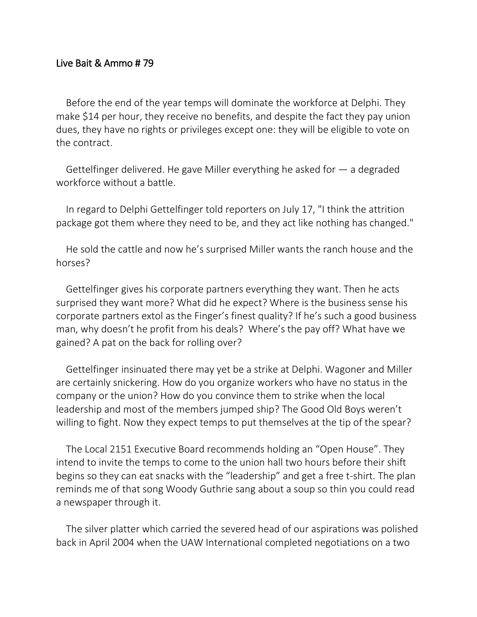## Live Bait & Ammo # 79

Before the end of the year temps will dominate the workforce at Delphi. They make \$14 per hour, they receive no benefits, and despite the fact they pay union dues, they have no rights or privileges except one: they will be eligible to vote on the contract.

Gettelfinger delivered. He gave Miller everything he asked for — a degraded workforce without a battle.

In regard to Delphi Gettelfinger told reporters on July 17, "I think the attrition package got them where they need to be, and they act like nothing has changed."

He sold the cattle and now he's surprised Miller wants the ranch house and the horses?

Gettelfinger gives his corporate partners everything they want. Then he acts surprised they want more? What did he expect? Where is the business sense his corporate partners extol as the Finger's finest quality? If he's such a good business man, why doesn't he profit from his deals? Where's the pay off? What have we gained? A pat on the back for rolling over?

Gettelfinger insinuated there may yet be a strike at Delphi. Wagoner and Miller are certainly snickering. How do you organize workers who have no status in the company or the union? How do you convince them to strike when the local leadership and most of the members jumped ship? The Good Old Boys weren't willing to fight. Now they expect temps to put themselves at the tip of the spear?

The Local 2151 Executive Board recommends holding an "Open House". They intend to invite the temps to come to the union hall two hours before their shift begins so they can eat snacks with the "leadership" and get a free t-shirt. The plan reminds me of that song Woody Guthrie sang about a soup so thin you could read a newspaper through it.

The silver platter which carried the severed head of our aspirations was polished back in April 2004 when the UAW International completed negotiations on a two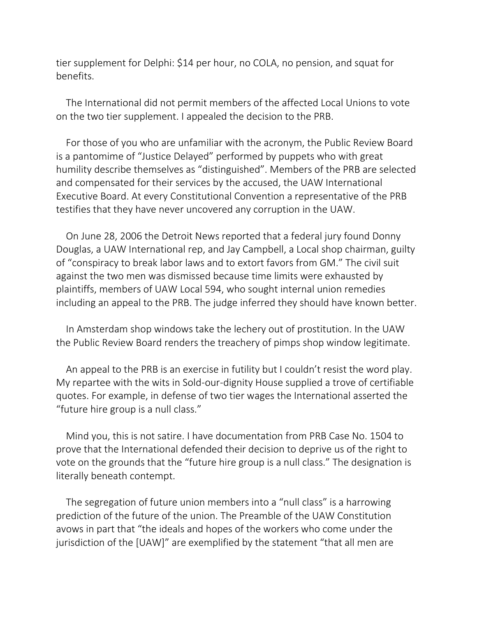tier supplement for Delphi: \$14 per hour, no COLA, no pension, and squat for benefits.

The International did not permit members of the affected Local Unions to vote on the two tier supplement. I appealed the decision to the PRB.

For those of you who are unfamiliar with the acronym, the Public Review Board is a pantomime of "Justice Delayed" performed by puppets who with great humility describe themselves as "distinguished". Members of the PRB are selected and compensated for their services by the accused, the UAW International Executive Board. At every Constitutional Convention a representative of the PRB testifies that they have never uncovered any corruption in the UAW.

On June 28, 2006 the Detroit News reported that a federal jury found Donny Douglas, a UAW International rep, and Jay Campbell, a Local shop chairman, guilty of "conspiracy to break labor laws and to extort favors from GM." The civil suit against the two men was dismissed because time limits were exhausted by plaintiffs, members of UAW Local 594, who sought internal union remedies including an appeal to the PRB. The judge inferred they should have known better.

In Amsterdam shop windows take the lechery out of prostitution. In the UAW the Public Review Board renders the treachery of pimps shop window legitimate.

An appeal to the PRB is an exercise in futility but I couldn't resist the word play. My repartee with the wits in Sold-our-dignity House supplied a trove of certifiable quotes. For example, in defense of two tier wages the International asserted the "future hire group is a null class."

Mind you, this is not satire. I have documentation from PRB Case No. 1504 to prove that the International defended their decision to deprive us of the right to vote on the grounds that the "future hire group is a null class." The designation is literally beneath contempt.

The segregation of future union members into a "null class" is a harrowing prediction of the future of the union. The Preamble of the UAW Constitution avows in part that "the ideals and hopes of the workers who come under the jurisdiction of the [UAW]" are exemplified by the statement "that all men are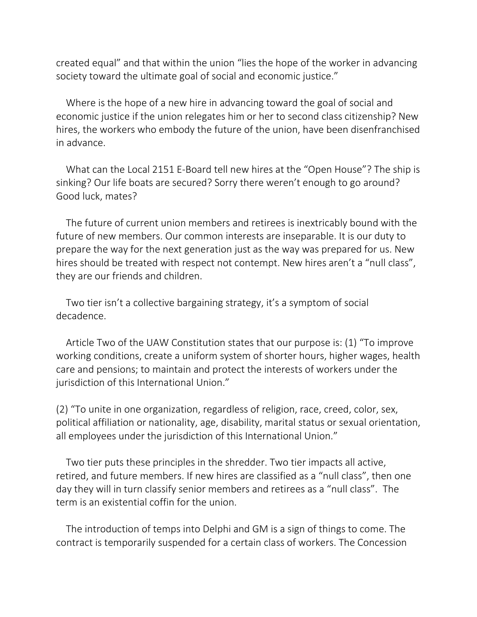created equal" and that within the union "lies the hope of the worker in advancing society toward the ultimate goal of social and economic justice."

Where is the hope of a new hire in advancing toward the goal of social and economic justice if the union relegates him or her to second class citizenship? New hires, the workers who embody the future of the union, have been disenfranchised in advance.

What can the Local 2151 E-Board tell new hires at the "Open House"? The ship is sinking? Our life boats are secured? Sorry there weren't enough to go around? Good luck, mates?

The future of current union members and retirees is inextricably bound with the future of new members. Our common interests are inseparable. It is our duty to prepare the way for the next generation just as the way was prepared for us. New hires should be treated with respect not contempt. New hires aren't a "null class", they are our friends and children.

Two tier isn't a collective bargaining strategy, it's a symptom of social decadence.

Article Two of the UAW Constitution states that our purpose is: (1) "To improve working conditions, create a uniform system of shorter hours, higher wages, health care and pensions; to maintain and protect the interests of workers under the jurisdiction of this International Union."

(2) "To unite in one organization, regardless of religion, race, creed, color, sex, political affiliation or nationality, age, disability, marital status or sexual orientation, all employees under the jurisdiction of this International Union."

Two tier puts these principles in the shredder. Two tier impacts all active, retired, and future members. If new hires are classified as a "null class", then one day they will in turn classify senior members and retirees as a "null class". The term is an existential coffin for the union.

The introduction of temps into Delphi and GM is a sign of things to come. The contract is temporarily suspended for a certain class of workers. The Concession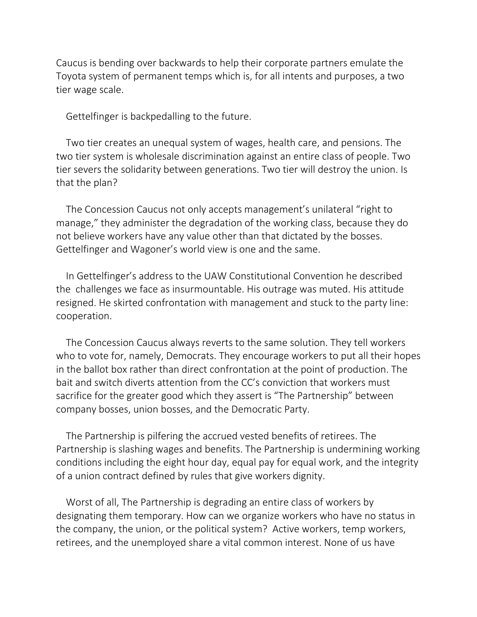Caucus is bending over backwards to help their corporate partners emulate the Toyota system of permanent temps which is, for all intents and purposes, a two tier wage scale.

Gettelfinger is backpedalling to the future.

Two tier creates an unequal system of wages, health care, and pensions. The two tier system is wholesale discrimination against an entire class of people. Two tier severs the solidarity between generations. Two tier will destroy the union. Is that the plan?

The Concession Caucus not only accepts management's unilateral "right to manage," they administer the degradation of the working class, because they do not believe workers have any value other than that dictated by the bosses. Gettelfinger and Wagoner's world view is one and the same.

In Gettelfinger's address to the UAW Constitutional Convention he described the challenges we face as insurmountable. His outrage was muted. His attitude resigned. He skirted confrontation with management and stuck to the party line: cooperation.

The Concession Caucus always reverts to the same solution. They tell workers who to vote for, namely, Democrats. They encourage workers to put all their hopes in the ballot box rather than direct confrontation at the point of production. The bait and switch diverts attention from the CC's conviction that workers must sacrifice for the greater good which they assert is "The Partnership" between company bosses, union bosses, and the Democratic Party.

The Partnership is pilfering the accrued vested benefits of retirees. The Partnership is slashing wages and benefits. The Partnership is undermining working conditions including the eight hour day, equal pay for equal work, and the integrity of a union contract defined by rules that give workers dignity.

Worst of all, The Partnership is degrading an entire class of workers by designating them temporary. How can we organize workers who have no status in the company, the union, or the political system? Active workers, temp workers, retirees, and the unemployed share a vital common interest. None of us have